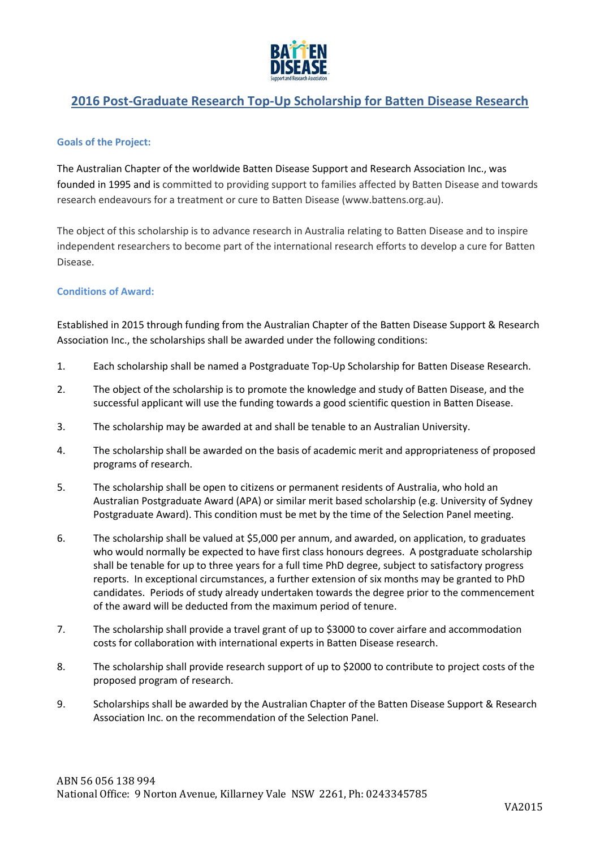

# **2016 Post-Graduate Research Top-Up Scholarship for Batten Disease Research**

## **Goals of the Project:**

The Australian Chapter of the worldwide Batten Disease Support and Research Association Inc., was founded in 1995 and is committed to providing support to families affected by Batten Disease and towards research endeavours for a treatment or cure to Batten Disease (www.battens.org.au).

The object of this scholarship is to advance research in Australia relating to Batten Disease and to inspire independent researchers to become part of the international research efforts to develop a cure for Batten Disease.

## **Conditions of Award:**

Established in 2015 through funding from the Australian Chapter of the Batten Disease Support & Research Association Inc., the scholarships shall be awarded under the following conditions:

- 1. Each scholarship shall be named a Postgraduate Top-Up Scholarship for Batten Disease Research.
- 2. The object of the scholarship is to promote the knowledge and study of Batten Disease, and the successful applicant will use the funding towards a good scientific question in Batten Disease.
- 3. The scholarship may be awarded at and shall be tenable to an Australian University.
- 4. The scholarship shall be awarded on the basis of academic merit and appropriateness of proposed programs of research.
- 5. The scholarship shall be open to citizens or permanent residents of Australia, who hold an Australian Postgraduate Award (APA) or similar merit based scholarship (e.g. University of Sydney Postgraduate Award). This condition must be met by the time of the Selection Panel meeting.
- 6. The scholarship shall be valued at \$5,000 per annum, and awarded, on application, to graduates who would normally be expected to have first class honours degrees. A postgraduate scholarship shall be tenable for up to three years for a full time PhD degree, subject to satisfactory progress reports. In exceptional circumstances, a further extension of six months may be granted to PhD candidates. Periods of study already undertaken towards the degree prior to the commencement of the award will be deducted from the maximum period of tenure.
- 7. The scholarship shall provide a travel grant of up to \$3000 to cover airfare and accommodation costs for collaboration with international experts in Batten Disease research.
- 8. The scholarship shall provide research support of up to \$2000 to contribute to project costs of the proposed program of research.
- 9. Scholarships shall be awarded by the Australian Chapter of the Batten Disease Support & Research Association Inc. on the recommendation of the Selection Panel.